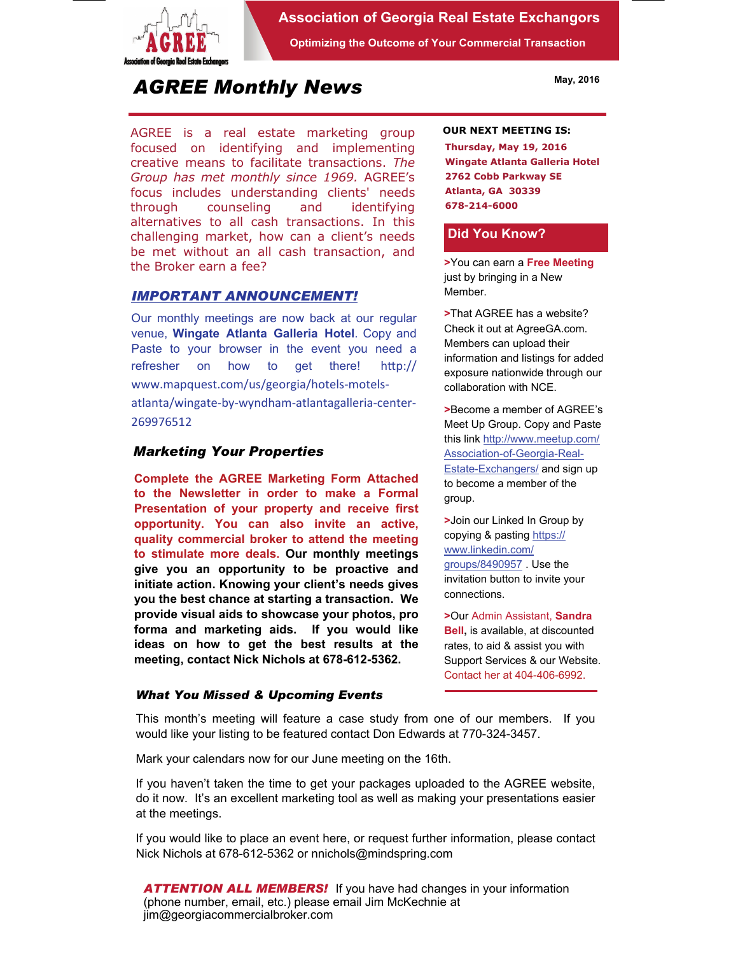

## **Association of Georgia Real Estate Exchangors**

**Optimizing the Outcome of Your Commercial Transaction** 

# *AGREE Monthly News*

AGREE is a real estate marketing group focused on identifying and implementing creative means to facilitate transactions. *The Group has met monthly since 1969.* AGREE's focus includes understanding clients' needs through counseling and identifying alternatives to all cash transactions. In this challenging market, how can a client's needs be met without an all cash transaction, and the Broker earn a fee?

## *IMPORTANT ANNOUNCEMENT!*

Our monthly meetings are now back at our regular venue, **Wingate Atlanta Galleria Hotel**. Copy and Paste to your browser in the event you need a refresher on how to get there! http:// www.mapquest.com/us/georgia/hotels‐motels‐ atlanta/wingate‐by‐wyndham‐atlantagalleria‐center‐ 269976512

# *Marketing Your Properties*

**Complete the AGREE Marketing Form Attached to the Newsletter in order to make a Formal Presentation of your property and receive first opportunity. You can also invite an active, quality commercial broker to attend the meeting to stimulate more deals. Our monthly meetings give you an opportunity to be proactive and initiate action. Knowing your client's needs gives you the best chance at starting a transaction. We provide visual aids to showcase your photos, pro forma and marketing aids. If you would like ideas on how to get the best results at the meeting, contact Nick Nichols at 678-612-5362.** 

#### *What You Missed & Upcoming Events*

#### **OUR NEXT MEETING IS:**

**Thursday, May 19, 2016 Wingate Atlanta Galleria Hotel 2762 Cobb Parkway SE Atlanta, GA 30339 678-214-6000** 

#### **Did You Know?**

**>**You can earn a **Free Meeting**  just by bringing in a New Member.

**>**That AGREE has a website? Check it out at AgreeGA.com. Members can upload their information and listings for added exposure nationwide through our collaboration with NCE.

**>**Become a member of AGREE's Meet Up Group. Copy and Paste this link http://www.meetup.com/ Association-of-Georgia-Real-Estate-Exchangers/ and sign up to become a member of the group.

**>**Join our Linked In Group by copying & pasting https:// www.linkedin.com/ groups/8490957 . Use the invitation button to invite your connections.

**>**Our Admin Assistant, **Sandra Bell,** is available, at discounted rates, to aid & assist you with Support Services & our Website. Contact her at 404-406-6992.

This month's meeting will feature a case study from one of our members. If you would like your listing to be featured contact Don Edwards at 770-324-3457.

Mark your calendars now for our June meeting on the 16th.

If you haven't taken the time to get your packages uploaded to the AGREE website, do it now. It's an excellent marketing tool as well as making your presentations easier at the meetings.

If you would like to place an event here, or request further information, please contact Nick Nichols at 678-612-5362 or nnichols@mindspring.com

*ATTENTION ALL MEMBERS!* If you have had changes in your information (phone number, email, etc.) please email Jim McKechnie at jim@georgiacommercialbroker.com

**May, 2016**